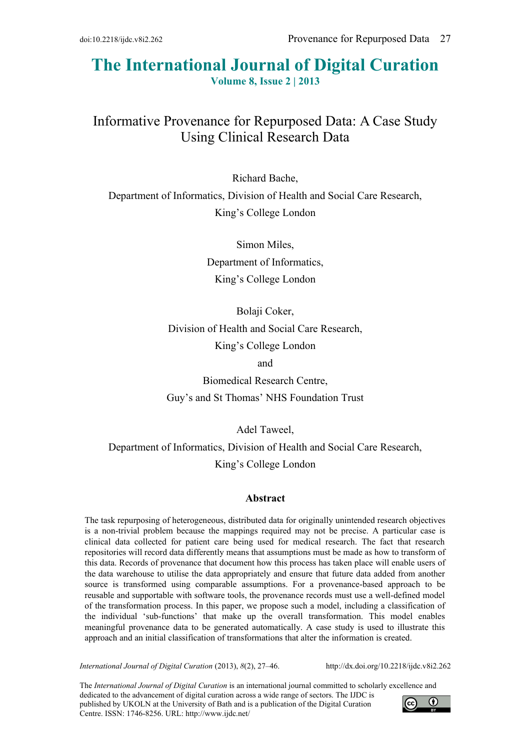# **The International Journal of Digital Curation Volume 8, Issue 2 | 2013**

# Informative Provenance for Repurposed Data: A Case Study Using Clinical Research Data

Richard Bache, Department of Informatics, Division of Health and Social Care Research, King's College London

> Simon Miles, Department of Informatics, King's College London

Bolaji Coker, Division of Health and Social Care Research, King's College London and Biomedical Research Centre,

Guy's and St Thomas' NHS Foundation Trust

Adel Taweel,

Department of Informatics, Division of Health and Social Care Research, King's College London

## **Abstract**

The task repurposing of heterogeneous, distributed data for originally unintended research objectives is a non-trivial problem because the mappings required may not be precise. A particular case is clinical data collected for patient care being used for medical research. The fact that research repositories will record data differently means that assumptions must be made as how to transform of this data. Records of provenance that document how this process has taken place will enable users of the data warehouse to utilise the data appropriately and ensure that future data added from another source is transformed using comparable assumptions. For a provenance-based approach to be reusable and supportable with software tools, the provenance records must use a well-defined model of the transformation process. In this paper, we propose such a model, including a classification of the individual 'sub-functions' that make up the overall transformation. This model enables meaningful provenance data to be generated automatically. A case study is used to illustrate this approach and an initial classification of transformations that alter the information is created.

*International Journal of Digital Curation* (2013), *8*(2), 27–46. http://dx.doi.org/10.2218/ijdc.v8i2.262

The *International Journal of Digital Curation* is an international journal committed to scholarly excellence and dedicated to the advancement of digital curation across a wide range of sectors. The IJDC is published by UKOLN at the University of Bath and is a publication of the Digital Curation Centre. ISSN: 1746-8256. URL: http://www.ijdc.net/

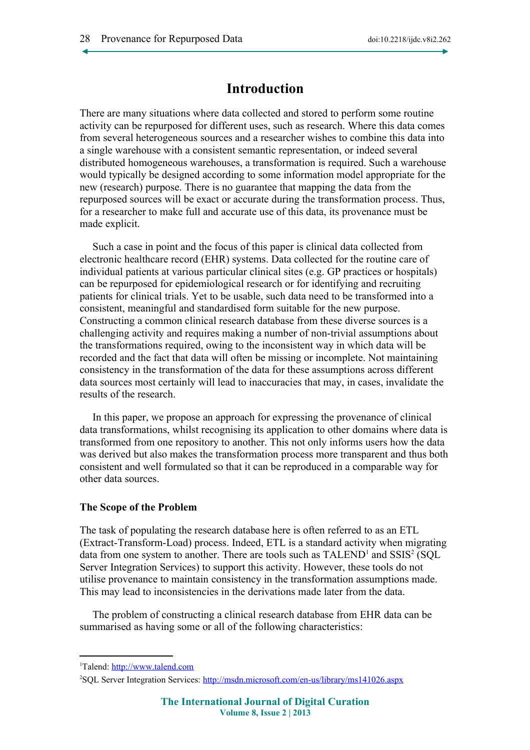## **Introduction**

There are many situations where data collected and stored to perform some routine activity can be repurposed for different uses, such as research. Where this data comes from several heterogeneous sources and a researcher wishes to combine this data into a single warehouse with a consistent semantic representation, or indeed several distributed homogeneous warehouses, a transformation is required. Such a warehouse would typically be designed according to some information model appropriate for the new (research) purpose. There is no guarantee that mapping the data from the repurposed sources will be exact or accurate during the transformation process. Thus, for a researcher to make full and accurate use of this data, its provenance must be made explicit.

Such a case in point and the focus of this paper is clinical data collected from electronic healthcare record (EHR) systems. Data collected for the routine care of individual patients at various particular clinical sites (e.g. GP practices or hospitals) can be repurposed for epidemiological research or for identifying and recruiting patients for clinical trials. Yet to be usable, such data need to be transformed into a consistent, meaningful and standardised form suitable for the new purpose. Constructing a common clinical research database from these diverse sources is a challenging activity and requires making a number of non-trivial assumptions about the transformations required, owing to the inconsistent way in which data will be recorded and the fact that data will often be missing or incomplete. Not maintaining consistency in the transformation of the data for these assumptions across different data sources most certainly will lead to inaccuracies that may, in cases, invalidate the results of the research.

In this paper, we propose an approach for expressing the provenance of clinical data transformations, whilst recognising its application to other domains where data is transformed from one repository to another. This not only informs users how the data was derived but also makes the transformation process more transparent and thus both consistent and well formulated so that it can be reproduced in a comparable way for other data sources.

#### **The Scope of the Problem**

The task of populating the research database here is often referred to as an ETL (Extract-Transform-Load) process. Indeed, ETL is a standard activity when migrating data from one system to another. There are tools such as  $\text{TALEND}^1$  $\text{TALEND}^1$  and  $\text{SSIS}^2$  $\text{SSIS}^2$  (SQL Server Integration Services) to support this activity. However, these tools do not utilise provenance to maintain consistency in the transformation assumptions made. This may lead to inconsistencies in the derivations made later from the data.

The problem of constructing a clinical research database from EHR data can be summarised as having some or all of the following characteristics:

<span id="page-1-0"></span><sup>&</sup>lt;sup>1</sup>Talend: [http://www.talend.com](http://www.talend.com/)

<span id="page-1-1"></span><sup>2</sup>SQL Server Integration Services:<http://msdn.microsoft.com/en-us/library/ms141026.aspx>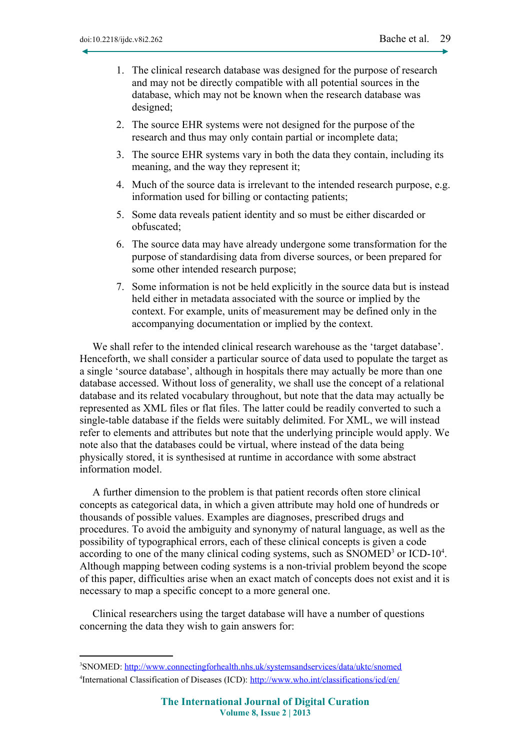- 1. The clinical research database was designed for the purpose of research and may not be directly compatible with all potential sources in the database, which may not be known when the research database was designed;
- 2. The source EHR systems were not designed for the purpose of the research and thus may only contain partial or incomplete data;
- 3. The source EHR systems vary in both the data they contain, including its meaning, and the way they represent it;
- 4. Much of the source data is irrelevant to the intended research purpose, e.g. information used for billing or contacting patients;
- 5. Some data reveals patient identity and so must be either discarded or obfuscated;
- 6. The source data may have already undergone some transformation for the purpose of standardising data from diverse sources, or been prepared for some other intended research purpose;
- 7. Some information is not be held explicitly in the source data but is instead held either in metadata associated with the source or implied by the context. For example, units of measurement may be defined only in the accompanying documentation or implied by the context.

We shall refer to the intended clinical research warehouse as the 'target database'. Henceforth, we shall consider a particular source of data used to populate the target as a single 'source database', although in hospitals there may actually be more than one database accessed. Without loss of generality, we shall use the concept of a relational database and its related vocabulary throughout, but note that the data may actually be represented as XML files or flat files. The latter could be readily converted to such a single-table database if the fields were suitably delimited. For XML, we will instead refer to elements and attributes but note that the underlying principle would apply. We note also that the databases could be virtual, where instead of the data being physically stored, it is synthesised at runtime in accordance with some abstract information model.

A further dimension to the problem is that patient records often store clinical concepts as categorical data, in which a given attribute may hold one of hundreds or thousands of possible values. Examples are diagnoses, prescribed drugs and procedures. To avoid the ambiguity and synonymy of natural language, as well as the possibility of typographical errors, each of these clinical concepts is given a code according to one of the many clinical coding systems, such as  $S NOMED<sup>3</sup>$  $S NOMED<sup>3</sup>$  $S NOMED<sup>3</sup>$  or  $ICD-10<sup>4</sup>$  $ICD-10<sup>4</sup>$  $ICD-10<sup>4</sup>$ . Although mapping between coding systems is a non-trivial problem beyond the scope of this paper, difficulties arise when an exact match of concepts does not exist and it is necessary to map a specific concept to a more general one.

Clinical researchers using the target database will have a number of questions concerning the data they wish to gain answers for:

<span id="page-2-1"></span><span id="page-2-0"></span><sup>&</sup>lt;sup>3</sup>SNOMED: <http://www.connectingforhealth.nhs.uk/systemsandservices/data/uktc/snomed> <sup>4</sup>International Classification of Diseases (ICD): <http://www.who.int/classifications/icd/en/>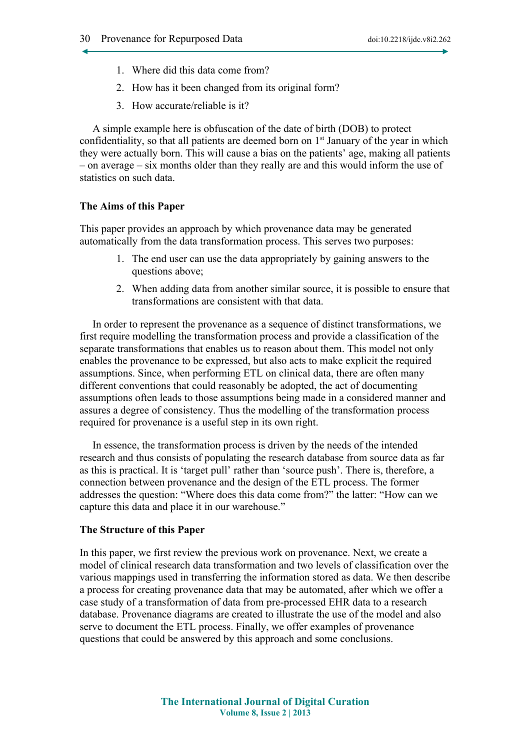- 1. Where did this data come from?
- 2. How has it been changed from its original form?
- 3. How accurate/reliable is it?

A simple example here is obfuscation of the date of birth (DOB) to protect confidentiality, so that all patients are deemed born on  $1<sup>st</sup>$  January of the year in which they were actually born. This will cause a bias on the patients' age, making all patients – on average – six months older than they really are and this would inform the use of statistics on such data.

#### **The Aims of this Paper**

This paper provides an approach by which provenance data may be generated automatically from the data transformation process. This serves two purposes:

- 1. The end user can use the data appropriately by gaining answers to the questions above:
- 2. When adding data from another similar source, it is possible to ensure that transformations are consistent with that data.

In order to represent the provenance as a sequence of distinct transformations, we first require modelling the transformation process and provide a classification of the separate transformations that enables us to reason about them. This model not only enables the provenance to be expressed, but also acts to make explicit the required assumptions. Since, when performing ETL on clinical data, there are often many different conventions that could reasonably be adopted, the act of documenting assumptions often leads to those assumptions being made in a considered manner and assures a degree of consistency. Thus the modelling of the transformation process required for provenance is a useful step in its own right.

In essence, the transformation process is driven by the needs of the intended research and thus consists of populating the research database from source data as far as this is practical. It is 'target pull' rather than 'source push'. There is, therefore, a connection between provenance and the design of the ETL process. The former addresses the question: "Where does this data come from?" the latter: "How can we capture this data and place it in our warehouse."

#### **The Structure of this Paper**

In this paper, we first review the previous work on provenance. Next, we create a model of clinical research data transformation and two levels of classification over the various mappings used in transferring the information stored as data. We then describe a process for creating provenance data that may be automated, after which we offer a case study of a transformation of data from pre-processed EHR data to a research database. Provenance diagrams are created to illustrate the use of the model and also serve to document the ETL process. Finally, we offer examples of provenance questions that could be answered by this approach and some conclusions.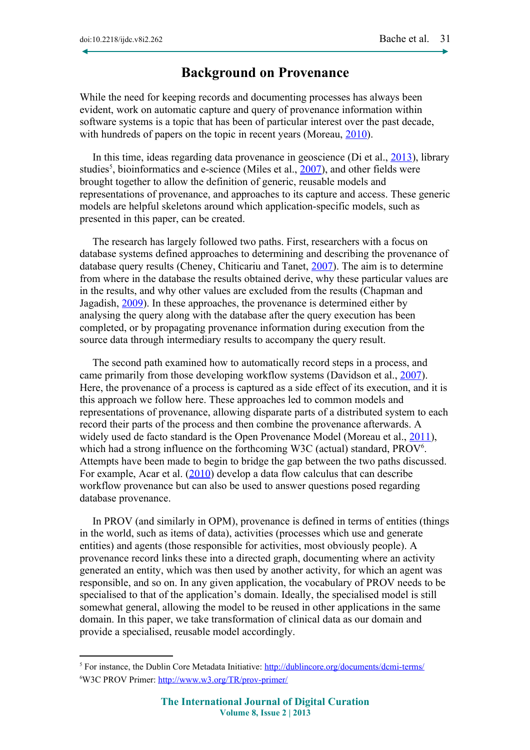## **Background on Provenance**

While the need for keeping records and documenting processes has always been evident, work on automatic capture and query of provenance information within software systems is a topic that has been of particular interest over the past decade, with hundreds of papers on the topic in recent years (Moreau, [2010\)](#page-18-6).

In this time, ideas regarding data provenance in geoscience (Di et al.,  $2013$ ), library studies<sup>[5](#page-4-0)</sup>, bioinformatics and e-science (Miles et al.,  $2007$ ), and other fields were brought together to allow the definition of generic, reusable models and representations of provenance, and approaches to its capture and access. These generic models are helpful skeletons around which application-specific models, such as presented in this paper, can be created.

The research has largely followed two paths. First, researchers with a focus on database systems defined approaches to determining and describing the provenance of database query results (Cheney, Chiticariu and Tanet, [2007\)](#page-18-3). The aim is to determine from where in the database the results obtained derive, why these particular values are in the results, and why other values are excluded from the results (Chapman and Jagadish, [2009\)](#page-18-2). In these approaches, the provenance is determined either by analysing the query along with the database after the query execution has been completed, or by propagating provenance information during execution from the source data through intermediary results to accompany the query result.

The second path examined how to automatically record steps in a process, and came primarily from those developing workflow systems (Davidson et al., [2007\)](#page-18-1). Here, the provenance of a process is captured as a side effect of its execution, and it is this approach we follow here. These approaches led to common models and representations of provenance, allowing disparate parts of a distributed system to each record their parts of the process and then combine the provenance afterwards. A widely used de facto standard is the Open Provenance Model (Moreau et al., [2011\)](#page-19-0), which had a strong influence on the forthcoming W3C (actual) standard, PROV<sup>[6](#page-4-1)</sup>. Attempts have been made to begin to bridge the gap between the two paths discussed. For example, Acar et al. [\(2010\)](#page-18-0) develop a data flow calculus that can describe workflow provenance but can also be used to answer questions posed regarding database provenance.

In PROV (and similarly in OPM), provenance is defined in terms of entities (things in the world, such as items of data), activities (processes which use and generate entities) and agents (those responsible for activities, most obviously people). A provenance record links these into a directed graph, documenting where an activity generated an entity, which was then used by another activity, for which an agent was responsible, and so on. In any given application, the vocabulary of PROV needs to be specialised to that of the application's domain. Ideally, the specialised model is still somewhat general, allowing the model to be reused in other applications in the same domain. In this paper, we take transformation of clinical data as our domain and provide a specialised, reusable model accordingly.

<span id="page-4-1"></span><span id="page-4-0"></span><sup>&</sup>lt;sup>5</sup> For instance, the Dublin Core Metadata Initiative: <http://dublincore.org/documents/dcmi-terms/> <sup>6</sup>W3C PROV Primer: <http://www.w3.org/TR/prov-primer/>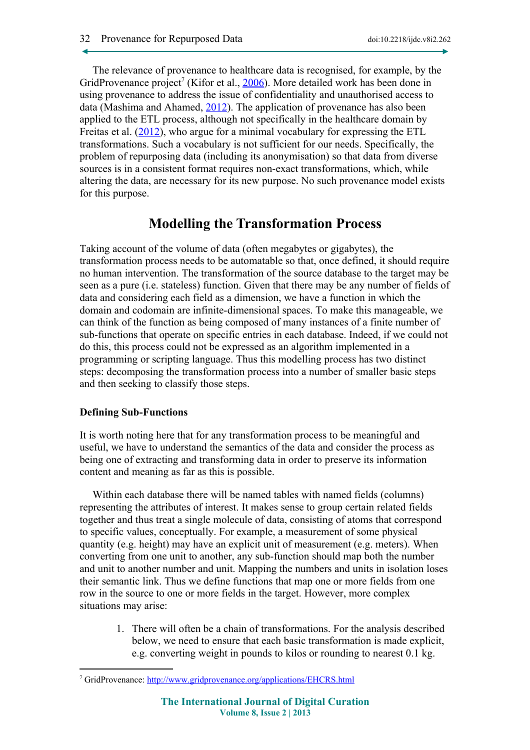The relevance of provenance to healthcare data is recognised, for example, by the GridProvenance project<sup>[7](#page-5-0)</sup> (Kifor et al.,  $2006$ ). More detailed work has been done in using provenance to address the issue of confidentiality and unauthorised access to data (Mashima and Ahamed, [2012\)](#page-18-8). The application of provenance has also been applied to the ETL process, although not specifically in the healthcare domain by Freitas et al. [\(2012\)](#page-18-7), who argue for a minimal vocabulary for expressing the ETL transformations. Such a vocabulary is not sufficient for our needs. Specifically, the problem of repurposing data (including its anonymisation) so that data from diverse sources is in a consistent format requires non-exact transformations, which, while altering the data, are necessary for its new purpose. No such provenance model exists for this purpose.

# **Modelling the Transformation Process**

Taking account of the volume of data (often megabytes or gigabytes), the transformation process needs to be automatable so that, once defined, it should require no human intervention. The transformation of the source database to the target may be seen as a pure (i.e. stateless) function. Given that there may be any number of fields of data and considering each field as a dimension, we have a function in which the domain and codomain are infinite-dimensional spaces. To make this manageable, we can think of the function as being composed of many instances of a finite number of sub-functions that operate on specific entries in each database. Indeed, if we could not do this, this process could not be expressed as an algorithm implemented in a programming or scripting language. Thus this modelling process has two distinct steps: decomposing the transformation process into a number of smaller basic steps and then seeking to classify those steps.

## **Defining Sub-Functions**

It is worth noting here that for any transformation process to be meaningful and useful, we have to understand the semantics of the data and consider the process as being one of extracting and transforming data in order to preserve its information content and meaning as far as this is possible.

Within each database there will be named tables with named fields (columns) representing the attributes of interest. It makes sense to group certain related fields together and thus treat a single molecule of data, consisting of atoms that correspond to specific values, conceptually. For example, a measurement of some physical quantity (e.g. height) may have an explicit unit of measurement (e.g. meters). When converting from one unit to another, any sub-function should map both the number and unit to another number and unit. Mapping the numbers and units in isolation loses their semantic link. Thus we define functions that map one or more fields from one row in the source to one or more fields in the target. However, more complex situations may arise:

> 1. There will often be a chain of transformations. For the analysis described below, we need to ensure that each basic transformation is made explicit, e.g. converting weight in pounds to kilos or rounding to nearest 0.1 kg.

<span id="page-5-0"></span><sup>&</sup>lt;sup>7</sup> GridProvenance: <http://www.gridprovenance.org/applications/EHCRS.html>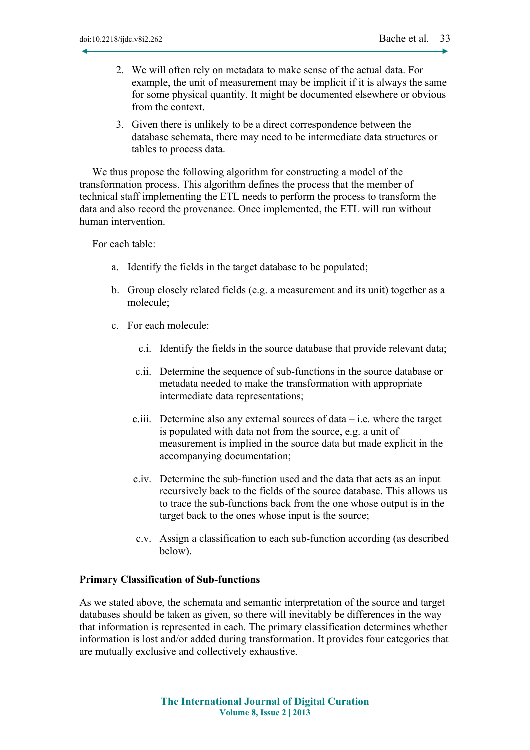- 2. We will often rely on metadata to make sense of the actual data. For example, the unit of measurement may be implicit if it is always the same for some physical quantity. It might be documented elsewhere or obvious from the context.
- 3. Given there is unlikely to be a direct correspondence between the database schemata, there may need to be intermediate data structures or tables to process data.

We thus propose the following algorithm for constructing a model of the transformation process. This algorithm defines the process that the member of technical staff implementing the ETL needs to perform the process to transform the data and also record the provenance. Once implemented, the ETL will run without human intervention.

For each table:

- a. Identify the fields in the target database to be populated;
- b. Group closely related fields (e.g. a measurement and its unit) together as a molecule;
- c. For each molecule:
	- c.i. Identify the fields in the source database that provide relevant data;
	- c.ii. Determine the sequence of sub-functions in the source database or metadata needed to make the transformation with appropriate intermediate data representations;
	- c.iii. Determine also any external sources of  $data i.e.$  where the target is populated with data not from the source, e.g. a unit of measurement is implied in the source data but made explicit in the accompanying documentation;
	- c.iv. Determine the sub-function used and the data that acts as an input recursively back to the fields of the source database. This allows us to trace the sub-functions back from the one whose output is in the target back to the ones whose input is the source;
	- c.v. Assign a classification to each sub-function according (as described below).

#### **Primary Classification of Sub-functions**

As we stated above, the schemata and semantic interpretation of the source and target databases should be taken as given, so there will inevitably be differences in the way that information is represented in each. The primary classification determines whether information is lost and/or added during transformation. It provides four categories that are mutually exclusive and collectively exhaustive.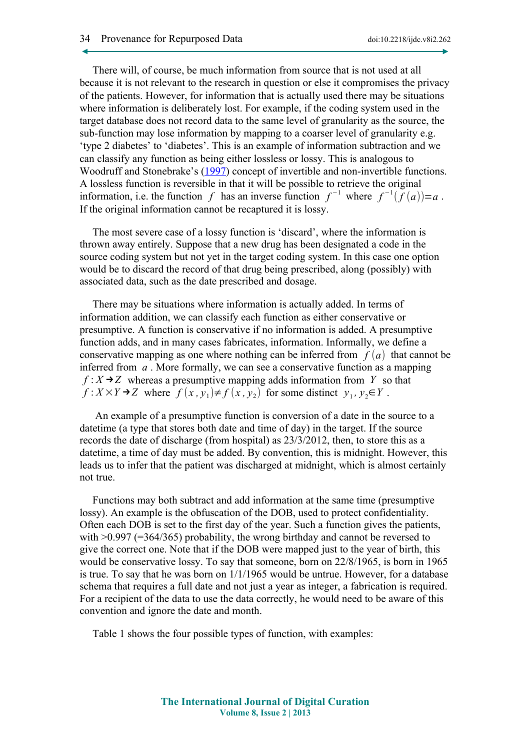There will, of course, be much information from source that is not used at all because it is not relevant to the research in question or else it compromises the privacy of the patients. However, for information that is actually used there may be situations where information is deliberately lost. For example, if the coding system used in the target database does not record data to the same level of granularity as the source, the sub-function may lose information by mapping to a coarser level of granularity e.g. 'type 2 diabetes' to 'diabetes'. This is an example of information subtraction and we can classify any function as being either lossless or lossy. This is analogous to Woodruff and Stonebrake's [\(1997\)](#page-19-1) concept of invertible and non-invertible functions. A lossless function is reversible in that it will be possible to retrieve the original information, i.e. the function *f* has an inverse function  $f^{-1}$  where  $f^{-1}(f(a))=a$ . If the original information cannot be recaptured it is lossy.

The most severe case of a lossy function is 'discard', where the information is thrown away entirely. Suppose that a new drug has been designated a code in the source coding system but not yet in the target coding system. In this case one option would be to discard the record of that drug being prescribed, along (possibly) with associated data, such as the date prescribed and dosage.

There may be situations where information is actually added. In terms of information addition, we can classify each function as either conservative or presumptive. A function is conservative if no information is added. A presumptive function adds, and in many cases fabricates, information. Informally, we define a conservative mapping as one where nothing can be inferred from  $f(a)$  that cannot be inferred from *a* . More formally, we can see a conservative function as a mapping  $f: X \rightarrow Z$  whereas a presumptive mapping adds information from *Y* so that  $f: X \times Y \rightarrow Z$  where  $f(x, y_1) \neq f(x, y_2)$  for some distinct  $y_1, y_2 \in Y$ .

 An example of a presumptive function is conversion of a date in the source to a datetime (a type that stores both date and time of day) in the target. If the source records the date of discharge (from hospital) as 23/3/2012, then, to store this as a datetime, a time of day must be added. By convention, this is midnight. However, this leads us to infer that the patient was discharged at midnight, which is almost certainly not true.

Functions may both subtract and add information at the same time (presumptive lossy). An example is the obfuscation of the DOB, used to protect confidentiality. Often each DOB is set to the first day of the year. Such a function gives the patients, with  $>0.997$  (=364/365) probability, the wrong birthday and cannot be reversed to give the correct one. Note that if the DOB were mapped just to the year of birth, this would be conservative lossy. To say that someone, born on 22/8/1965, is born in 1965 is true. To say that he was born on 1/1/1965 would be untrue. However, for a database schema that requires a full date and not just a year as integer, a fabrication is required. For a recipient of the data to use the data correctly, he would need to be aware of this convention and ignore the date and month.

Table 1 shows the four possible types of function, with examples: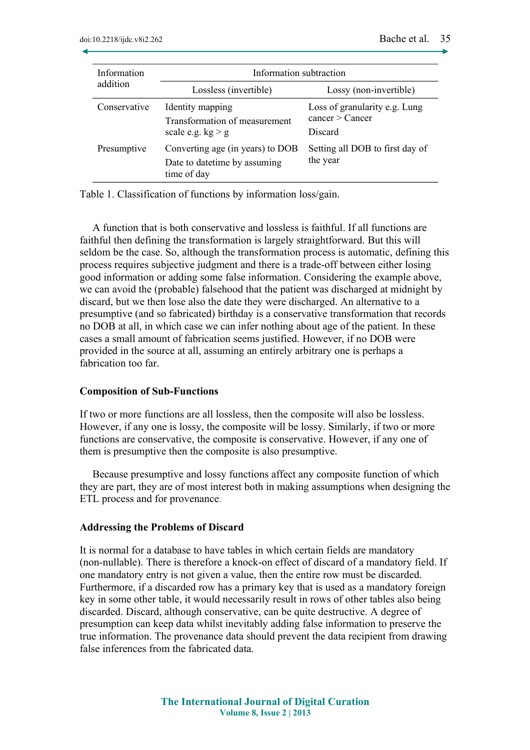| Information<br>addition | Information subtraction                                                          |                                                             |  |
|-------------------------|----------------------------------------------------------------------------------|-------------------------------------------------------------|--|
|                         | Lossless (invertible)                                                            | Lossy (non-invertible)                                      |  |
| Conservative            | Identity mapping<br>Transformation of measurement<br>scale e.g. $kg > g$         | Loss of granularity e.g. Lung<br>cancer > Cancer<br>Discard |  |
| Presumptive             | Converting age (in years) to DOB<br>Date to date time by assuming<br>time of day | Setting all DOB to first day of<br>the year                 |  |

Table 1. Classification of functions by information loss/gain.

A function that is both conservative and lossless is faithful. If all functions are faithful then defining the transformation is largely straightforward. But this will seldom be the case. So, although the transformation process is automatic, defining this process requires subjective judgment and there is a trade-off between either losing good information or adding some false information. Considering the example above, we can avoid the (probable) falsehood that the patient was discharged at midnight by discard, but we then lose also the date they were discharged. An alternative to a presumptive (and so fabricated) birthday is a conservative transformation that records no DOB at all, in which case we can infer nothing about age of the patient. In these cases a small amount of fabrication seems justified. However, if no DOB were provided in the source at all, assuming an entirely arbitrary one is perhaps a fabrication too far.

#### **Composition of Sub-Functions**

If two or more functions are all lossless, then the composite will also be lossless. However, if any one is lossy, the composite will be lossy. Similarly, if two or more functions are conservative, the composite is conservative. However, if any one of them is presumptive then the composite is also presumptive.

Because presumptive and lossy functions affect any composite function of which they are part, they are of most interest both in making assumptions when designing the ETL process and for provenance.

#### **Addressing the Problems of Discard**

It is normal for a database to have tables in which certain fields are mandatory (non-nullable). There is therefore a knock-on effect of discard of a mandatory field. If one mandatory entry is not given a value, then the entire row must be discarded. Furthermore, if a discarded row has a primary key that is used as a mandatory foreign key in some other table, it would necessarily result in rows of other tables also being discarded. Discard, although conservative, can be quite destructive. A degree of presumption can keep data whilst inevitably adding false information to preserve the true information. The provenance data should prevent the data recipient from drawing false inferences from the fabricated data.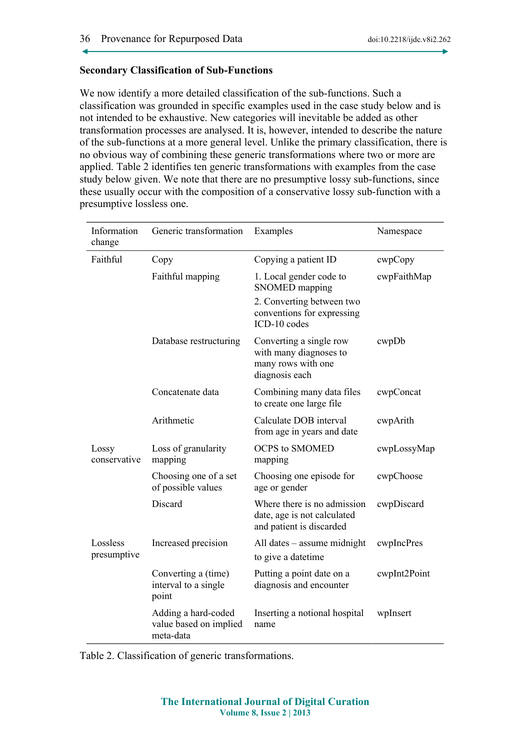### **Secondary Classification of Sub-Functions**

We now identify a more detailed classification of the sub-functions. Such a classification was grounded in specific examples used in the case study below and is not intended to be exhaustive. New categories will inevitable be added as other transformation processes are analysed. It is, however, intended to describe the nature of the sub-functions at a more general level. Unlike the primary classification, there is no obvious way of combining these generic transformations where two or more are applied. Table 2 identifies ten generic transformations with examples from the case study below given. We note that there are no presumptive lossy sub-functions, since these usually occur with the composition of a conservative lossy sub-function with a presumptive lossless one.

| Information<br>change   | Generic transformation                                     | Examples                                                                                                                    | Namespace    |
|-------------------------|------------------------------------------------------------|-----------------------------------------------------------------------------------------------------------------------------|--------------|
| Faithful                | Copy                                                       | Copying a patient ID                                                                                                        | cwpCopy      |
|                         | Faithful mapping                                           | 1. Local gender code to<br><b>SNOMED</b> mapping<br>2. Converting between two<br>conventions for expressing<br>ICD-10 codes | cwpFaithMap  |
|                         | Database restructuring                                     | Converting a single row<br>with many diagnoses to<br>many rows with one<br>diagnosis each                                   | cwpDb        |
|                         | Concatenate data                                           | Combining many data files<br>to create one large file                                                                       | cwpConcat    |
|                         | Arithmetic                                                 | Calculate DOB interval<br>from age in years and date                                                                        | cwpArith     |
| Lossy<br>conservative   | Loss of granularity<br>mapping                             | <b>OCPS to SMOMED</b><br>mapping                                                                                            | cwpLossyMap  |
|                         | Choosing one of a set<br>of possible values                | Choosing one episode for<br>age or gender                                                                                   | cwpChoose    |
|                         | Discard                                                    | Where there is no admission<br>date, age is not calculated<br>and patient is discarded                                      | cwpDiscard   |
| Lossless<br>presumptive | Increased precision                                        | All dates - assume midnight<br>to give a datetime                                                                           | cwpIncPres   |
|                         | Converting a (time)<br>interval to a single<br>point       | Putting a point date on a<br>diagnosis and encounter                                                                        | cwpInt2Point |
|                         | Adding a hard-coded<br>value based on implied<br>meta-data | Inserting a notional hospital<br>name                                                                                       | wpInsert     |

Table 2. Classification of generic transformations.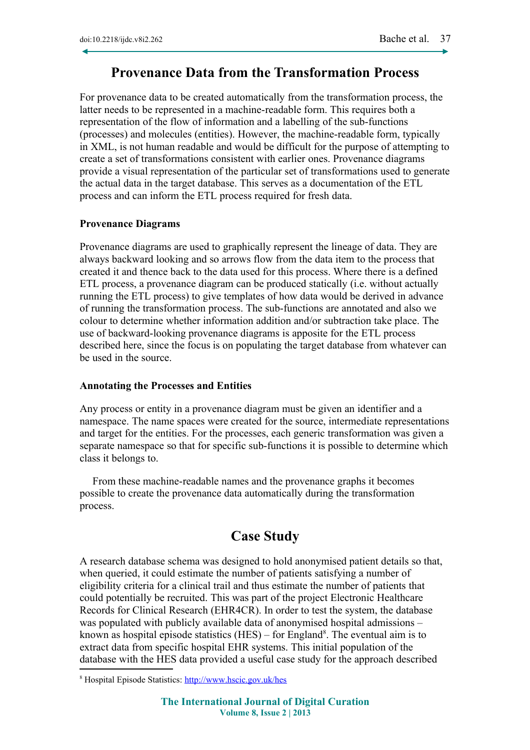## **Provenance Data from the Transformation Process**

For provenance data to be created automatically from the transformation process, the latter needs to be represented in a machine-readable form. This requires both a representation of the flow of information and a labelling of the sub-functions (processes) and molecules (entities). However, the machine-readable form, typically in XML, is not human readable and would be difficult for the purpose of attempting to create a set of transformations consistent with earlier ones. Provenance diagrams provide a visual representation of the particular set of transformations used to generate the actual data in the target database. This serves as a documentation of the ETL process and can inform the ETL process required for fresh data.

#### **Provenance Diagrams**

Provenance diagrams are used to graphically represent the lineage of data. They are always backward looking and so arrows flow from the data item to the process that created it and thence back to the data used for this process. Where there is a defined ETL process, a provenance diagram can be produced statically (i.e. without actually running the ETL process) to give templates of how data would be derived in advance of running the transformation process. The sub-functions are annotated and also we colour to determine whether information addition and/or subtraction take place. The use of backward-looking provenance diagrams is apposite for the ETL process described here, since the focus is on populating the target database from whatever can be used in the source.

### **Annotating the Processes and Entities**

Any process or entity in a provenance diagram must be given an identifier and a namespace. The name spaces were created for the source, intermediate representations and target for the entities. For the processes, each generic transformation was given a separate namespace so that for specific sub-functions it is possible to determine which class it belongs to.

From these machine-readable names and the provenance graphs it becomes possible to create the provenance data automatically during the transformation process.

## **Case Study**

A research database schema was designed to hold anonymised patient details so that, when queried, it could estimate the number of patients satisfying a number of eligibility criteria for a clinical trail and thus estimate the number of patients that could potentially be recruited. This was part of the project Electronic Healthcare Records for Clinical Research (EHR4CR). In order to test the system, the database was populated with publicly available data of anonymised hospital admissions – known as hospital episode statistics  $(HES)$  – for England<sup>[8](#page-10-0)</sup>. The eventual aim is to extract data from specific hospital EHR systems. This initial population of the database with the HES data provided a useful case study for the approach described

<span id="page-10-0"></span><sup>8</sup> Hospital Episode Statistics: <http://www.hscic.gov.uk/hes>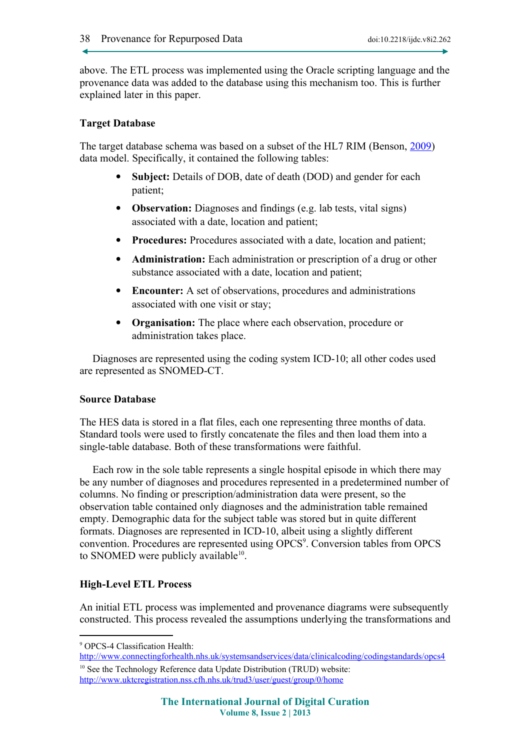above. The ETL process was implemented using the Oracle scripting language and the provenance data was added to the database using this mechanism too. This is further explained later in this paper.

### **Target Database**

The target database schema was based on a subset of the HL7 RIM (Benson, [2009\)](#page-18-10) data model. Specifically, it contained the following tables:

- **Subject:** Details of DOB, date of death (DOD) and gender for each patient;
- **Observation:** Diagnoses and findings (e.g. lab tests, vital signs) associated with a date, location and patient;
- Procedures: Procedures associated with a date, location and patient;
- **Administration:** Each administration or prescription of a drug or other substance associated with a date, location and patient;
- **Encounter:** A set of observations, procedures and administrations associated with one visit or stay;
- **Organisation:** The place where each observation, procedure or administration takes place.

Diagnoses are represented using the coding system ICD-10; all other codes used are represented as SNOMED-CT.

### **Source Database**

The HES data is stored in a flat files, each one representing three months of data. Standard tools were used to firstly concatenate the files and then load them into a single-table database. Both of these transformations were faithful.

Each row in the sole table represents a single hospital episode in which there may be any number of diagnoses and procedures represented in a predetermined number of columns. No finding or prescription/administration data were present, so the observation table contained only diagnoses and the administration table remained empty. Demographic data for the subject table was stored but in quite different formats. Diagnoses are represented in ICD-10, albeit using a slightly different convention. Procedures are represented using OPCS<sup>[9](#page-11-0)</sup>. Conversion tables from OPCS to SNOMED were publicly available<sup>[10](#page-11-1)</sup>.

### **High-Level ETL Process**

An initial ETL process was implemented and provenance diagrams were subsequently constructed. This process revealed the assumptions underlying the transformations and

<span id="page-11-0"></span><sup>9</sup> OPCS-4 Classification Health:

<http://www.connectingforhealth.nhs.uk/systemsandservices/data/clinicalcoding/codingstandards/opcs4>

<span id="page-11-1"></span><sup>&</sup>lt;sup>10</sup> See the Technology Reference data Update Distribution (TRUD) website: <http://www.uktcregistration.nss.cfh.nhs.uk/trud3/user/guest/group/0/home>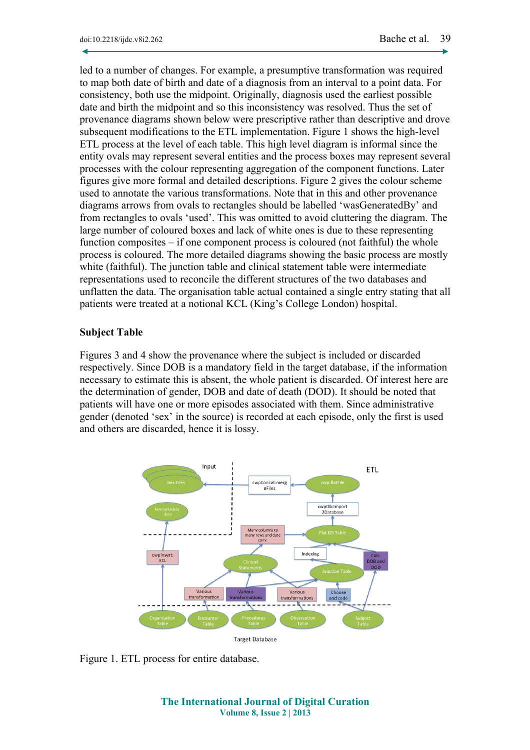led to a number of changes. For example, a presumptive transformation was required to map both date of birth and date of a diagnosis from an interval to a point data. For consistency, both use the midpoint. Originally, diagnosis used the earliest possible date and birth the midpoint and so this inconsistency was resolved. Thus the set of provenance diagrams shown below were prescriptive rather than descriptive and drove subsequent modifications to the ETL implementation. Figure 1 shows the high-level ETL process at the level of each table. This high level diagram is informal since the entity ovals may represent several entities and the process boxes may represent several processes with the colour representing aggregation of the component functions. Later figures give more formal and detailed descriptions. Figure 2 gives the colour scheme used to annotate the various transformations. Note that in this and other provenance diagrams arrows from ovals to rectangles should be labelled 'wasGeneratedBy' and from rectangles to ovals 'used'. This was omitted to avoid cluttering the diagram. The large number of coloured boxes and lack of white ones is due to these representing function composites – if one component process is coloured (not faithful) the whole process is coloured. The more detailed diagrams showing the basic process are mostly white (faithful). The junction table and clinical statement table were intermediate representations used to reconcile the different structures of the two databases and unflatten the data. The organisation table actual contained a single entry stating that all patients were treated at a notional KCL (King's College London) hospital.

### **Subject Table**

Figures 3 and 4 show the provenance where the subject is included or discarded respectively. Since DOB is a mandatory field in the target database, if the information necessary to estimate this is absent, the whole patient is discarded. Of interest here are the determination of gender, DOB and date of death (DOD). It should be noted that patients will have one or more episodes associated with them. Since administrative gender (denoted 'sex' in the source) is recorded at each episode, only the first is used and others are discarded, hence it is lossy.



Figure 1. ETL process for entire database.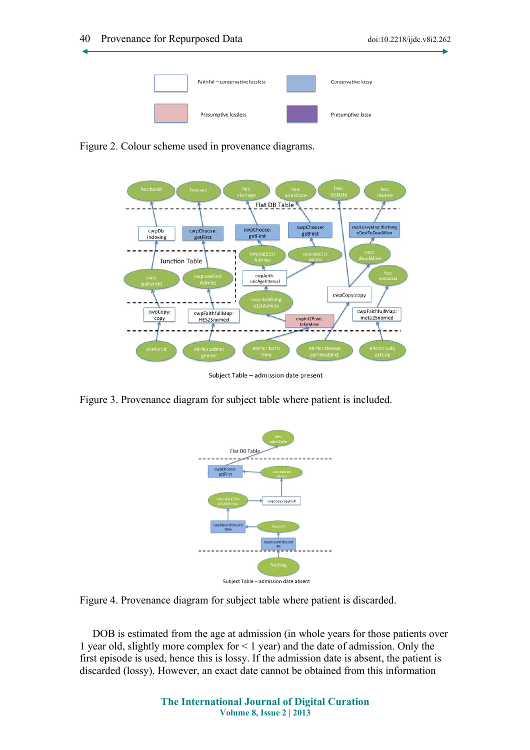

Figure 2. Colour scheme used in provenance diagrams.



Subject Table - admission date present

Figure 3. Provenance diagram for subject table where patient is included.



Figure 4. Provenance diagram for subject table where patient is discarded.

DOB is estimated from the age at admission (in whole years for those patients over 1 year old, slightly more complex for < 1 year) and the date of admission. Only the first episode is used, hence this is lossy. If the admission date is absent, the patient is discarded (lossy). However, an exact date cannot be obtained from this information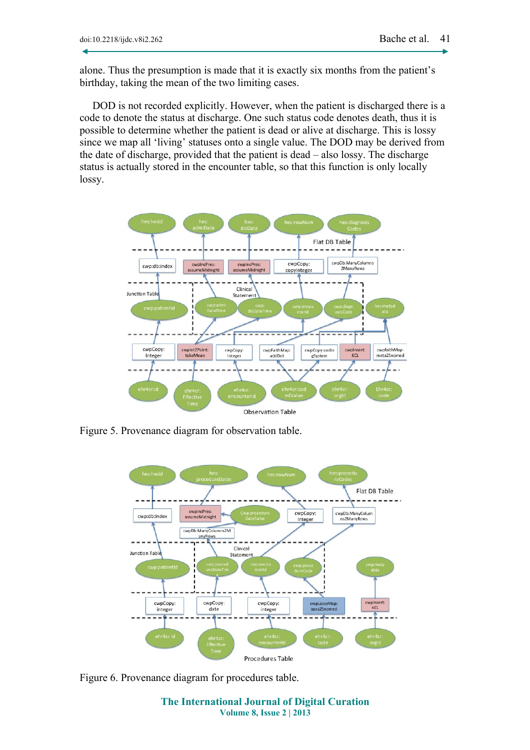alone. Thus the presumption is made that it is exactly six months from the patient's birthday, taking the mean of the two limiting cases.

DOD is not recorded explicitly. However, when the patient is discharged there is a code to denote the status at discharge. One such status code denotes death, thus it is possible to determine whether the patient is dead or alive at discharge. This is lossy since we map all 'living' statuses onto a single value. The DOD may be derived from the date of discharge, provided that the patient is dead – also lossy. The discharge status is actually stored in the encounter table, so that this function is only locally lossy.



Figure 5. Provenance diagram for observation table.



Figure 6. Provenance diagram for procedures table.

**The International Journal of Digital Curation Volume 8, Issue 2 | 2013**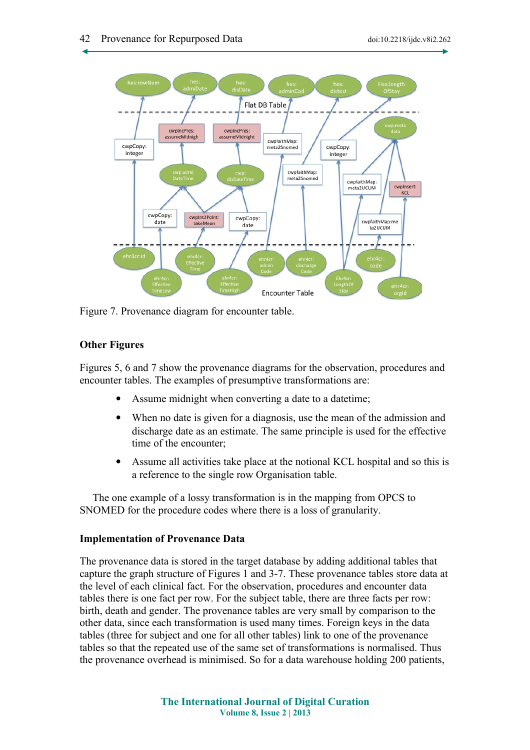

Figure 7. Provenance diagram for encounter table.

## **Other Figures**

Figures 5, 6 and 7 show the provenance diagrams for the observation, procedures and encounter tables. The examples of presumptive transformations are:

- Assume midnight when converting a date to a datetime;
- When no date is given for a diagnosis, use the mean of the admission and discharge date as an estimate. The same principle is used for the effective time of the encounter;
- Assume all activities take place at the notional KCL hospital and so this is a reference to the single row Organisation table.

The one example of a lossy transformation is in the mapping from OPCS to SNOMED for the procedure codes where there is a loss of granularity.

### **Implementation of Provenance Data**

The provenance data is stored in the target database by adding additional tables that capture the graph structure of Figures 1 and 3-7. These provenance tables store data at the level of each clinical fact. For the observation, procedures and encounter data tables there is one fact per row. For the subject table, there are three facts per row: birth, death and gender. The provenance tables are very small by comparison to the other data, since each transformation is used many times. Foreign keys in the data tables (three for subject and one for all other tables) link to one of the provenance tables so that the repeated use of the same set of transformations is normalised. Thus the provenance overhead is minimised. So for a data warehouse holding 200 patients,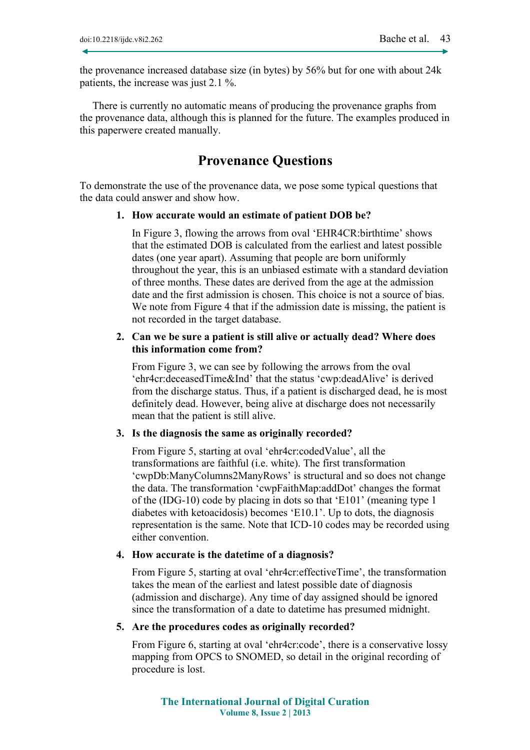the provenance increased database size (in bytes) by 56% but for one with about 24k patients, the increase was just 2.1 %.

There is currently no automatic means of producing the provenance graphs from the provenance data, although this is planned for the future. The examples produced in this paperwere created manually.

## **Provenance Questions**

To demonstrate the use of the provenance data, we pose some typical questions that the data could answer and show how.

#### **1. How accurate would an estimate of patient DOB be?**

In Figure 3, flowing the arrows from oval 'EHR4CR:birthtime' shows that the estimated DOB is calculated from the earliest and latest possible dates (one year apart). Assuming that people are born uniformly throughout the year, this is an unbiased estimate with a standard deviation of three months. These dates are derived from the age at the admission date and the first admission is chosen. This choice is not a source of bias. We note from Figure 4 that if the admission date is missing, the patient is not recorded in the target database.

### **2. Can we be sure a patient is still alive or actually dead? Where does this information come from?**

From Figure 3, we can see by following the arrows from the oval 'ehr4cr:deceasedTime&Ind' that the status 'cwp:deadAlive' is derived from the discharge status. Thus, if a patient is discharged dead, he is most definitely dead. However, being alive at discharge does not necessarily mean that the patient is still alive.

#### **3. Is the diagnosis the same as originally recorded?**

From Figure 5, starting at oval 'ehr4cr:codedValue', all the transformations are faithful (i.e. white). The first transformation 'cwpDb:ManyColumns2ManyRows' is structural and so does not change the data. The transformation 'cwpFaithMap:addDot' changes the format of the (IDG-10) code by placing in dots so that 'E101' (meaning type 1 diabetes with ketoacidosis) becomes 'E10.1'. Up to dots, the diagnosis representation is the same. Note that ICD-10 codes may be recorded using either convention.

## **4. How accurate is the datetime of a diagnosis?**

From Figure 5, starting at oval 'ehr4cr:effectiveTime', the transformation takes the mean of the earliest and latest possible date of diagnosis (admission and discharge). Any time of day assigned should be ignored since the transformation of a date to datetime has presumed midnight.

#### **5. Are the procedures codes as originally recorded?**

From Figure 6, starting at oval 'ehr4cr:code', there is a conservative lossy mapping from OPCS to SNOMED, so detail in the original recording of procedure is lost.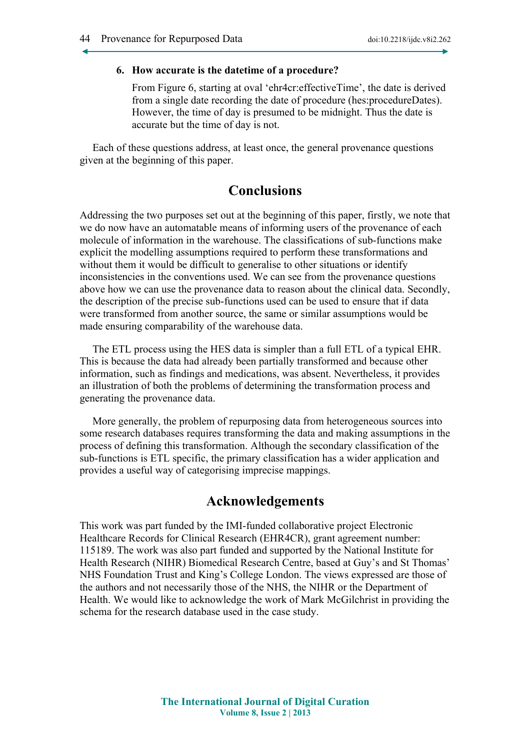#### **6. How accurate is the datetime of a procedure?**

From Figure 6, starting at oval 'ehr4cr:effectiveTime', the date is derived from a single date recording the date of procedure (hes:procedureDates). However, the time of day is presumed to be midnight. Thus the date is accurate but the time of day is not.

Each of these questions address, at least once, the general provenance questions given at the beginning of this paper.

## **Conclusions**

Addressing the two purposes set out at the beginning of this paper, firstly, we note that we do now have an automatable means of informing users of the provenance of each molecule of information in the warehouse. The classifications of sub-functions make explicit the modelling assumptions required to perform these transformations and without them it would be difficult to generalise to other situations or identify inconsistencies in the conventions used. We can see from the provenance questions above how we can use the provenance data to reason about the clinical data. Secondly, the description of the precise sub-functions used can be used to ensure that if data were transformed from another source, the same or similar assumptions would be made ensuring comparability of the warehouse data.

The ETL process using the HES data is simpler than a full ETL of a typical EHR. This is because the data had already been partially transformed and because other information, such as findings and medications, was absent. Nevertheless, it provides an illustration of both the problems of determining the transformation process and generating the provenance data.

More generally, the problem of repurposing data from heterogeneous sources into some research databases requires transforming the data and making assumptions in the process of defining this transformation. Although the secondary classification of the sub-functions is ETL specific, the primary classification has a wider application and provides a useful way of categorising imprecise mappings.

## **Acknowledgements**

This work was part funded by the IMI-funded collaborative project Electronic Healthcare Records for Clinical Research (EHR4CR), grant agreement number: 115189. The work was also part funded and supported by the National Institute for Health Research (NIHR) Biomedical Research Centre, based at Guy's and St Thomas' NHS Foundation Trust and King's College London. The views expressed are those of the authors and not necessarily those of the NHS, the NIHR or the Department of Health. We would like to acknowledge the work of Mark McGilchrist in providing the schema for the research database used in the case study.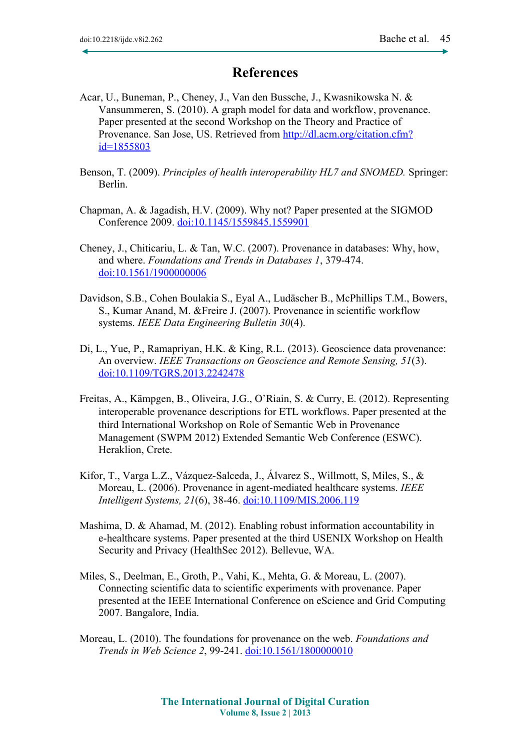# **References**

- <span id="page-18-0"></span>Acar, U., Buneman, P., Cheney, J., Van den Bussche, J., Kwasnikowska N. & Vansummeren, S. (2010). A graph model for data and workflow, provenance. Paper presented at the second Workshop on the Theory and Practice of Provenance. San Jose, US. Retrieved from [http://dl.acm.org/citation.cfm?](http://dl.acm.org/citation.cfm?id=1855803) [id=1855803](http://dl.acm.org/citation.cfm?id=1855803)
- <span id="page-18-10"></span>Benson, T. (2009). *Principles of health interoperability HL7 and SNOMED.* Springer: Berlin.
- <span id="page-18-2"></span>Chapman, A. & Jagadish, H.V. (2009). Why not? Paper presented at the SIGMOD Conference 2009. [doi:10.1145/1559845.1559901](http://dx.doi.org/10.1145/1559845.1559901)
- <span id="page-18-3"></span>Cheney, J., Chiticariu, L. & Tan, W.C. (2007). Provenance in databases: Why, how, and where. *Foundations and Trends in Databases 1*, 379-474. [doi:10.1561/1900000006](http://dx.doi.org/10.1561/1900000006)
- <span id="page-18-1"></span>Davidson, S.B., Cohen Boulakia S., Eyal A., Ludäscher B., McPhillips T.M., Bowers, S., Kumar Anand, M. &Freire J. (2007). Provenance in scientific workflow systems. *IEEE Data Engineering Bulletin 30*(4).
- <span id="page-18-5"></span>Di, L., Yue, P., Ramapriyan, H.K. & King, R.L. (2013). Geoscience data provenance: An overview. *IEEE Transactions on Geoscience and Remote Sensing, 51*(3). [doi:10.1109/TGRS.2013.2242478](http://dx.doi.org/10.1109/TGRS.2013.2242478)
- <span id="page-18-7"></span>Freitas, A., Kämpgen, B., Oliveira, J.G., O'Riain, S. & Curry, E. (2012). Representing interoperable provenance descriptions for ETL workflows. Paper presented at the third International Workshop on Role of Semantic Web in Provenance Management (SWPM 2012) Extended Semantic Web Conference (ESWC). Heraklion, Crete.
- <span id="page-18-9"></span>Kifor, T., Varga L.Z., Vázquez-Salceda, J., Álvarez S., Willmott, S, Miles, S., & Moreau, L. (2006). Provenance in agent-mediated healthcare systems. *IEEE Intelligent Systems, 21*(6), 38-46. [doi:10.1109/MIS.2006.119](http://dx.doi.org/10.1109/MIS.2006.119)
- <span id="page-18-8"></span>Mashima, D. & Ahamad, M. (2012). Enabling robust information accountability in e-healthcare systems. Paper presented at the third USENIX Workshop on Health Security and Privacy (HealthSec 2012). Bellevue, WA.
- <span id="page-18-4"></span>Miles, S., Deelman, E., Groth, P., Vahi, K., Mehta, G. & Moreau, L. (2007). Connecting scientific data to scientific experiments with provenance. Paper presented at the IEEE International Conference on eScience and Grid Computing 2007. Bangalore, India.
- <span id="page-18-6"></span>Moreau, L. (2010). The foundations for provenance on the web. *Foundations and Trends in Web Science 2*, 99-241. [doi:10.1561/1800000010](http://dx.doi.org/10.1561/1800000010)